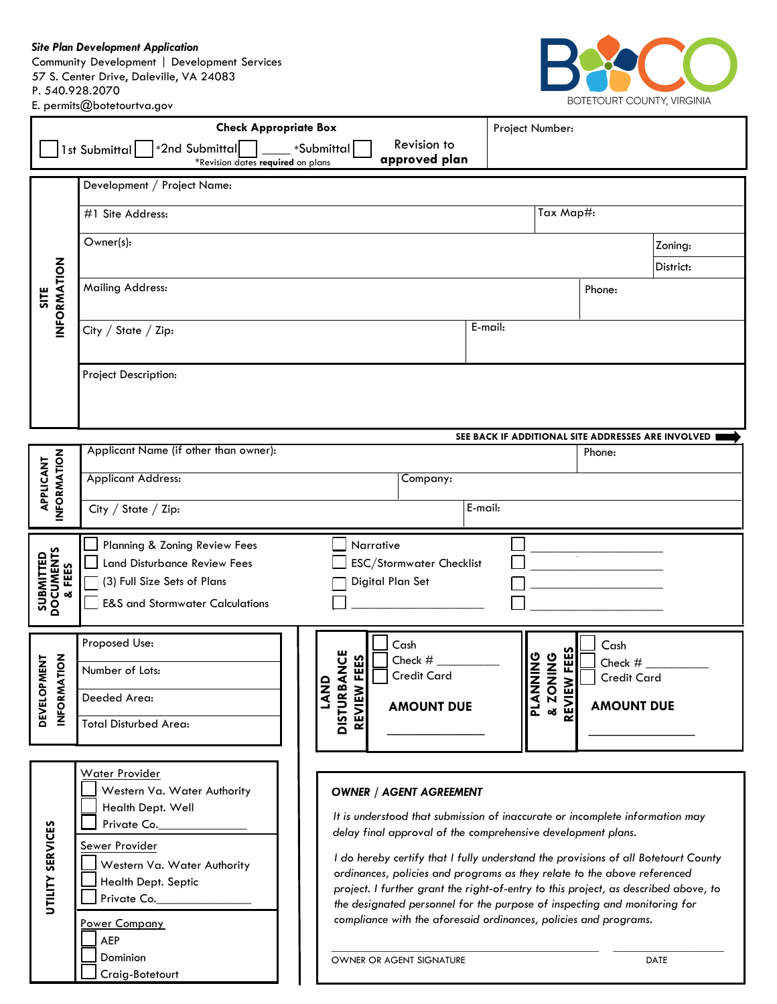*Site Plan Development Application*

Community Development | Development Services 57 S. Center Drive, Daleville, VA 24083 P. 540.928.2070 E. permits@botetourtva.gov



| <b>Check Appropriate Box</b>                                                                                       |                                                                                                                                                                                        |                                                           | Project Number:                       |                               |  |  |  |  |  |
|--------------------------------------------------------------------------------------------------------------------|----------------------------------------------------------------------------------------------------------------------------------------------------------------------------------------|-----------------------------------------------------------|---------------------------------------|-------------------------------|--|--|--|--|--|
| Revision to<br>*2nd Submittal<br>1st Submittal<br>*Submittal<br>approved plan<br>*Revision dates required on plans |                                                                                                                                                                                        |                                                           |                                       |                               |  |  |  |  |  |
| Development / Project Name:                                                                                        |                                                                                                                                                                                        |                                                           |                                       |                               |  |  |  |  |  |
| INFORMATION<br><b>SITE</b>                                                                                         | Tax Map#:<br>#1 Site Address:                                                                                                                                                          |                                                           |                                       |                               |  |  |  |  |  |
|                                                                                                                    | Owner(s):<br>Zoning:                                                                                                                                                                   |                                                           |                                       |                               |  |  |  |  |  |
|                                                                                                                    |                                                                                                                                                                                        |                                                           |                                       | District:                     |  |  |  |  |  |
|                                                                                                                    | <b>Mailing Address:</b>                                                                                                                                                                |                                                           |                                       | Phone:                        |  |  |  |  |  |
|                                                                                                                    |                                                                                                                                                                                        |                                                           | E-mail:                               |                               |  |  |  |  |  |
|                                                                                                                    | City / State / Zip:                                                                                                                                                                    |                                                           |                                       |                               |  |  |  |  |  |
|                                                                                                                    | Project Description:                                                                                                                                                                   |                                                           |                                       |                               |  |  |  |  |  |
|                                                                                                                    |                                                                                                                                                                                        |                                                           |                                       |                               |  |  |  |  |  |
|                                                                                                                    | SEE BACK IF ADDITIONAL SITE ADDRESSES ARE INVOLVED                                                                                                                                     |                                                           |                                       |                               |  |  |  |  |  |
| <b>INFORMATION</b><br>APPLICANT                                                                                    | Applicant Name (if other than owner):                                                                                                                                                  |                                                           |                                       | Phone:                        |  |  |  |  |  |
|                                                                                                                    | <b>Applicant Address:</b>                                                                                                                                                              | Company:                                                  |                                       |                               |  |  |  |  |  |
|                                                                                                                    | City / State / Zip:                                                                                                                                                                    |                                                           | E-mail:                               |                               |  |  |  |  |  |
|                                                                                                                    |                                                                                                                                                                                        |                                                           |                                       |                               |  |  |  |  |  |
| <b>SUBMITTED<br/>DOCUMENTS<br/>&amp; FEES</b>                                                                      | Planning & Zoning Review Fees<br><b>Land Disturbance Review Fees</b>                                                                                                                   | Narrative<br>ESC/Stormwater Checklist                     |                                       | $\alpha$                      |  |  |  |  |  |
|                                                                                                                    | (3) Full Size Sets of Plans                                                                                                                                                            | Digital Plan Set                                          |                                       |                               |  |  |  |  |  |
|                                                                                                                    | <b>E&amp;S and Stormwater Calculations</b>                                                                                                                                             |                                                           |                                       |                               |  |  |  |  |  |
| <b>ATION</b><br>MENT<br><b>DEVELOP</b><br><b>INFORM</b>                                                            | Proposed Use:                                                                                                                                                                          | Cash                                                      |                                       | Cash                          |  |  |  |  |  |
|                                                                                                                    | Number of Lots:                                                                                                                                                                        | <b>ANCE</b><br>Check #<br>FEES<br><b>Credit Card</b><br>Δ | V FEES<br><b>AIING</b><br><b>ONIN</b> | Check #<br><b>Credit Card</b> |  |  |  |  |  |
|                                                                                                                    | Deeded Area:                                                                                                                                                                           | M<br>N<br><b>REVIEW</b><br><b>AMOUNT DUE</b>              | <b>PLANI</b><br>& ZON<br>REVIEW       | <b>AMOUNT DUE</b>             |  |  |  |  |  |
|                                                                                                                    | <b>Total Disturbed Area:</b>                                                                                                                                                           | <b>DISTURB</b>                                            |                                       |                               |  |  |  |  |  |
|                                                                                                                    |                                                                                                                                                                                        |                                                           |                                       |                               |  |  |  |  |  |
|                                                                                                                    | Water Provider                                                                                                                                                                         |                                                           |                                       |                               |  |  |  |  |  |
|                                                                                                                    | Western Va. Water Authority<br><b>OWNER / AGENT AGREEMENT</b><br>Health Dept. Well                                                                                                     |                                                           |                                       |                               |  |  |  |  |  |
|                                                                                                                    | It is understood that submission of inaccurate or incomplete information may<br>Private Co.<br>delay final approval of the comprehensive development plans.                            |                                                           |                                       |                               |  |  |  |  |  |
|                                                                                                                    | Sewer Provider<br>I do hereby certify that I fully understand the provisions of all Botetourt County<br>Western Va. Water Authority                                                    |                                                           |                                       |                               |  |  |  |  |  |
| UTILITY SERVICES                                                                                                   | ordinances, policies and programs as they relate to the above referenced<br>Health Dept. Septic<br>project. I further grant the right-of-entry to this project, as described above, to |                                                           |                                       |                               |  |  |  |  |  |
|                                                                                                                    | Private Co.<br>the designated personnel for the purpose of inspecting and monitoring for<br>compliance with the aforesaid ordinances, policies and programs.                           |                                                           |                                       |                               |  |  |  |  |  |
|                                                                                                                    | Power Company<br><b>AEP</b>                                                                                                                                                            |                                                           |                                       |                               |  |  |  |  |  |
|                                                                                                                    | Dominion<br>Craig-Botetourt                                                                                                                                                            | OWNER OR AGENT SIGNATURE                                  |                                       | <b>DATE</b>                   |  |  |  |  |  |
|                                                                                                                    |                                                                                                                                                                                        |                                                           |                                       |                               |  |  |  |  |  |